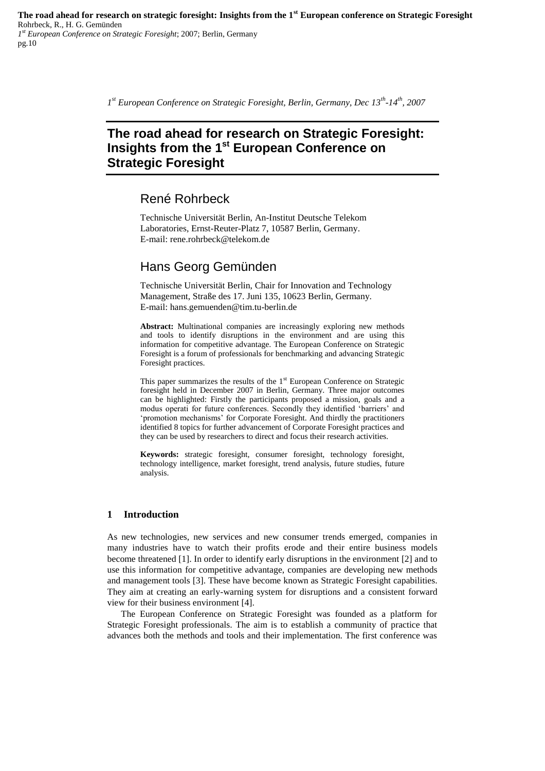*1 st European Conference on Strategic Foresight, Berlin, Germany, Dec 13th -14th, 2007*

# **The road ahead for research on Strategic Foresight: Insights from the 1st European Conference on Strategic Foresight**

# René Rohrbeck

Technische Universität Berlin, An-Institut Deutsche Telekom Laboratories, Ernst-Reuter-Platz 7, 10587 Berlin, Germany. E-mail: rene.rohrbeck@telekom.de

# Hans Georg Gemünden

Technische Universität Berlin, Chair for Innovation and Technology Management, Straße des 17. Juni 135, 10623 Berlin, Germany. E-mail: hans.gemuenden@tim.tu-berlin.de

**Abstract:** Multinational companies are increasingly exploring new methods and tools to identify disruptions in the environment and are using this information for competitive advantage. The European Conference on Strategic Foresight is a forum of professionals for benchmarking and advancing Strategic Foresight practices.

This paper summarizes the results of the 1<sup>st</sup> European Conference on Strategic foresight held in December 2007 in Berlin, Germany. Three major outcomes can be highlighted: Firstly the participants proposed a mission, goals and a modus operati for future conferences. Secondly they identified "barriers" and "promotion mechanisms" for Corporate Foresight. And thirdly the practitioners identified 8 topics for further advancement of Corporate Foresight practices and they can be used by researchers to direct and focus their research activities.

**Keywords:** strategic foresight, consumer foresight, technology foresight, technology intelligence, market foresight, trend analysis, future studies, future analysis.

# **1 Introduction**

As new technologies, new services and new consumer trends emerged, companies in many industries have to watch their profits erode and their entire business models become threatened [1]. In order to identify early disruptions in the environment [2] and to use this information for competitive advantage, companies are developing new methods and management tools [3]. These have become known as Strategic Foresight capabilities. They aim at creating an early-warning system for disruptions and a consistent forward view for their business environment [4].

The European Conference on Strategic Foresight was founded as a platform for Strategic Foresight professionals. The aim is to establish a community of practice that advances both the methods and tools and their implementation. The first conference was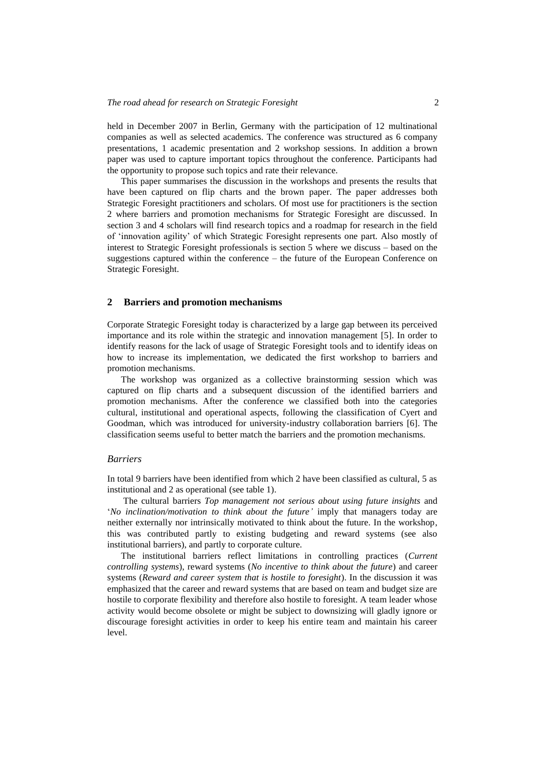held in December 2007 in Berlin, Germany with the participation of 12 multinational companies as well as selected academics. The conference was structured as 6 company presentations, 1 academic presentation and 2 workshop sessions. In addition a brown paper was used to capture important topics throughout the conference. Participants had the opportunity to propose such topics and rate their relevance.

This paper summarises the discussion in the workshops and presents the results that have been captured on flip charts and the brown paper. The paper addresses both Strategic Foresight practitioners and scholars. Of most use for practitioners is the section 2 where barriers and promotion mechanisms for Strategic Foresight are discussed. In section 3 and 4 scholars will find research topics and a roadmap for research in the field of "innovation agility" of which Strategic Foresight represents one part. Also mostly of interest to Strategic Foresight professionals is section 5 where we discuss – based on the suggestions captured within the conference – the future of the European Conference on Strategic Foresight.

# **2 Barriers and promotion mechanisms**

Corporate Strategic Foresight today is characterized by a large gap between its perceived importance and its role within the strategic and innovation management [5]. In order to identify reasons for the lack of usage of Strategic Foresight tools and to identify ideas on how to increase its implementation, we dedicated the first workshop to barriers and promotion mechanisms.

The workshop was organized as a collective brainstorming session which was captured on flip charts and a subsequent discussion of the identified barriers and promotion mechanisms. After the conference we classified both into the categories cultural, institutional and operational aspects, following the classification of Cyert and Goodman, which was introduced for university-industry collaboration barriers [6]. The classification seems useful to better match the barriers and the promotion mechanisms.

#### *Barriers*

In total 9 barriers have been identified from which 2 have been classified as cultural, 5 as institutional and 2 as operational (see table 1).

The cultural barriers *Top management not serious about using future insights* and "*No inclination/motivation to think about the future'* imply that managers today are neither externally nor intrinsically motivated to think about the future. In the workshop, this was contributed partly to existing budgeting and reward systems (see also institutional barriers), and partly to corporate culture.

The institutional barriers reflect limitations in controlling practices (*Current controlling systems*), reward systems (*No incentive to think about the future*) and career systems (*Reward and career system that is hostile to foresight*). In the discussion it was emphasized that the career and reward systems that are based on team and budget size are hostile to corporate flexibility and therefore also hostile to foresight. A team leader whose activity would become obsolete or might be subject to downsizing will gladly ignore or discourage foresight activities in order to keep his entire team and maintain his career level.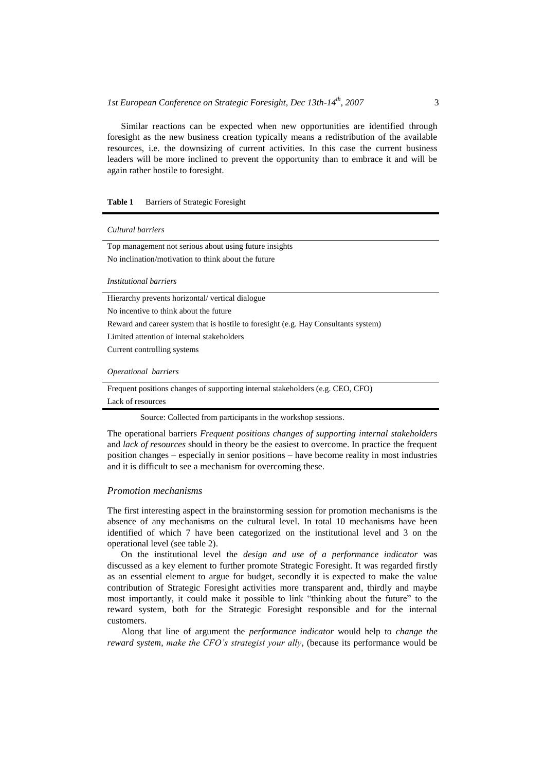Similar reactions can be expected when new opportunities are identified through foresight as the new business creation typically means a redistribution of the available resources, i.e. the downsizing of current activities. In this case the current business leaders will be more inclined to prevent the opportunity than to embrace it and will be again rather hostile to foresight.

## **Table 1** Barriers of Strategic Foresight

#### *Cultural barriers*

Top management not serious about using future insights No inclination/motivation to think about the future

*Institutional barriers*

Hierarchy prevents horizontal/ vertical dialogue

No incentive to think about the future

Reward and career system that is hostile to foresight (e.g. Hay Consultants system)

Limited attention of internal stakeholders

Current controlling systems

#### *Operational barriers*

Frequent positions changes of supporting internal stakeholders (e.g. CEO, CFO) Lack of resources

Source: Collected from participants in the workshop sessions.

The operational barriers *Frequent positions changes of supporting internal stakeholders* and *lack of resources* should in theory be the easiest to overcome. In practice the frequent position changes – especially in senior positions – have become reality in most industries and it is difficult to see a mechanism for overcoming these.

### *Promotion mechanisms*

The first interesting aspect in the brainstorming session for promotion mechanisms is the absence of any mechanisms on the cultural level. In total 10 mechanisms have been identified of which 7 have been categorized on the institutional level and 3 on the operational level (see table 2).

On the institutional level the *design and use of a performance indicator* was discussed as a key element to further promote Strategic Foresight. It was regarded firstly as an essential element to argue for budget, secondly it is expected to make the value contribution of Strategic Foresight activities more transparent and, thirdly and maybe most importantly, it could make it possible to link "thinking about the future" to the reward system, both for the Strategic Foresight responsible and for the internal customers.

Along that line of argument the *performance indicator* would help to *change the reward system*, *make the CFO's strategist your ally*, (because its performance would be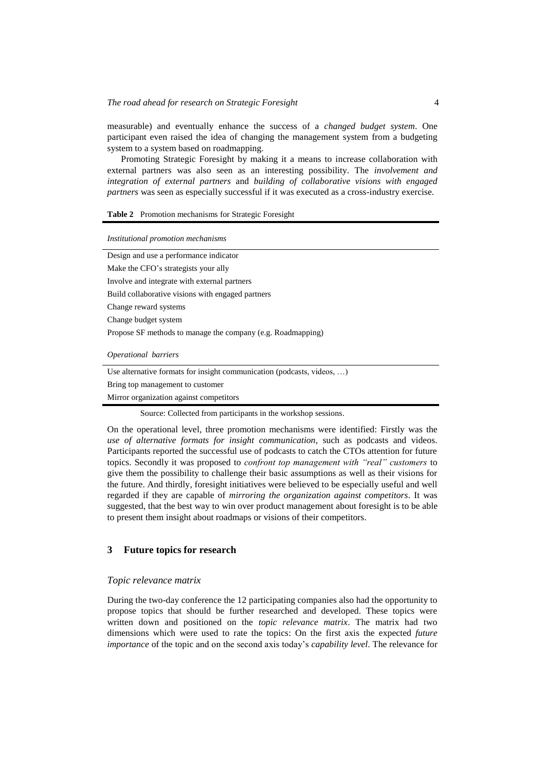measurable) and eventually enhance the success of a *changed budget system*. One participant even raised the idea of changing the management system from a budgeting system to a system based on roadmapping.

Promoting Strategic Foresight by making it a means to increase collaboration with external partners was also seen as an interesting possibility. The *involvement and integration of external partners* and *building of collaborative visions with engaged partners* was seen as especially successful if it was executed as a cross-industry exercise.

### **Table 2** Promotion mechanisms for Strategic Foresight

| Institutional promotion mechanisms                                     |
|------------------------------------------------------------------------|
| Design and use a performance indicator                                 |
| Make the CFO's strategists your ally                                   |
| Involve and integrate with external partners                           |
| Build collaborative visions with engaged partners                      |
| Change reward systems                                                  |
| Change budget system                                                   |
| Propose SF methods to manage the company (e.g. Roadmapping)            |
| <i><b>Operational barriers</b></i>                                     |
| Use alternative formats for insight communication (podcasts, videos, ) |

Bring top management to customer

Mirror organization against competitors

Source: Collected from participants in the workshop sessions.

On the operational level, three promotion mechanisms were identified: Firstly was the *use of alternative formats for insight communication*, such as podcasts and videos. Participants reported the successful use of podcasts to catch the CTOs attention for future topics. Secondly it was proposed to *confront top management with "real" customers* to give them the possibility to challenge their basic assumptions as well as their visions for the future. And thirdly, foresight initiatives were believed to be especially useful and well regarded if they are capable of *mirroring the organization against competitors*. It was suggested, that the best way to win over product management about foresight is to be able to present them insight about roadmaps or visions of their competitors.

# **3 Future topics for research**

#### *Topic relevance matrix*

During the two-day conference the 12 participating companies also had the opportunity to propose topics that should be further researched and developed. These topics were written down and positioned on the *topic relevance matrix*. The matrix had two dimensions which were used to rate the topics: On the first axis the expected *future importance* of the topic and on the second axis today"s *capability level*. The relevance for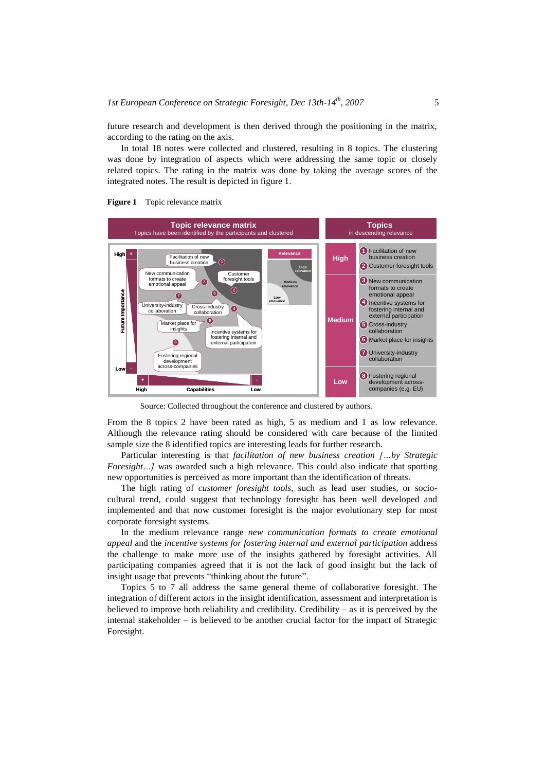future research and development is then derived through the positioning in the matrix, according to the rating on the axis.

In total 18 notes were collected and clustered, resulting in 8 topics. The clustering was done by integration of aspects which were addressing the same topic or closely related topics. The rating in the matrix was done by taking the average scores of the integrated notes. The result is depicted in figure 1.





Source: Collected throughout the conference and clustered by authors.

From the 8 topics 2 have been rated as high, 5 as medium and 1 as low relevance. Although the relevance rating should be considered with care because of the limited sample size the 8 identified topics are interesting leads for further research.

Particular interesting is that *facilitation of new business creation […by Strategic Foresight...]* was awarded such a high relevance. This could also indicate that spotting new opportunities is perceived as more important than the identification of threats.

The high rating of *customer foresight tools*, such as lead user studies, or sociocultural trend, could suggest that technology foresight has been well developed and implemented and that now customer foresight is the major evolutionary step for most corporate foresight systems.

In the medium relevance range *new communication formats to create emotional appeal* and the *incentive systems for fostering internal and external participation* address the challenge to make more use of the insights gathered by foresight activities. All participating companies agreed that it is not the lack of good insight but the lack of insight usage that prevents "thinking about the future".

Topics 5 to 7 all address the same general theme of collaborative foresight. The integration of different actors in the insight identification, assessment and interpretation is believed to improve both reliability and credibility. Credibility – as it is perceived by the internal stakeholder – is believed to be another crucial factor for the impact of Strategic Foresight.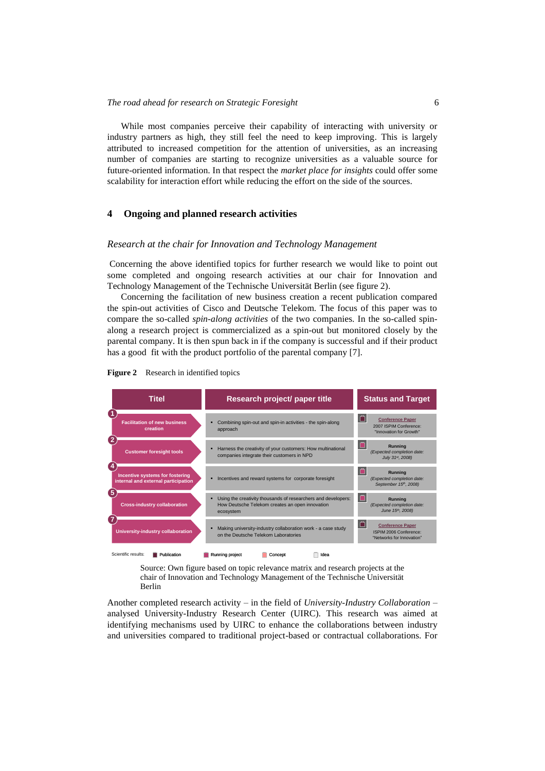While most companies perceive their capability of interacting with university or industry partners as high, they still feel the need to keep improving. This is largely attributed to increased competition for the attention of universities, as an increasing number of companies are starting to recognize universities as a valuable source for future-oriented information. In that respect the *market place for insights* could offer some scalability for interaction effort while reducing the effort on the side of the sources.

# **4 Ongoing and planned research activities**

### *Research at the chair for Innovation and Technology Management*

Concerning the above identified topics for further research we would like to point out some completed and ongoing research activities at our chair for Innovation and Technology Management of the Technische Universität Berlin (see figure 2).

Concerning the facilitation of new business creation a recent publication compared the spin-out activities of Cisco and Deutsche Telekom. The focus of this paper was to compare the so-called *spin-along activities* of the two companies. In the so-called spinalong a research project is commercialized as a spin-out but monitored closely by the parental company. It is then spun back in if the company is successful and if their product has a good fit with the product portfolio of the parental company [7].



**Figure 2** Research in identified topics

Source: Own figure based on topic relevance matrix and research projects at the chair of Innovation and Technology Management of the Technische Universität Berlin

Another completed research activity – in the field of *University-Industry Collaboration* – analysed University-Industry Research Center (UIRC). This research was aimed at identifying mechanisms used by UIRC to enhance the collaborations between industry and universities compared to traditional project-based or contractual collaborations. For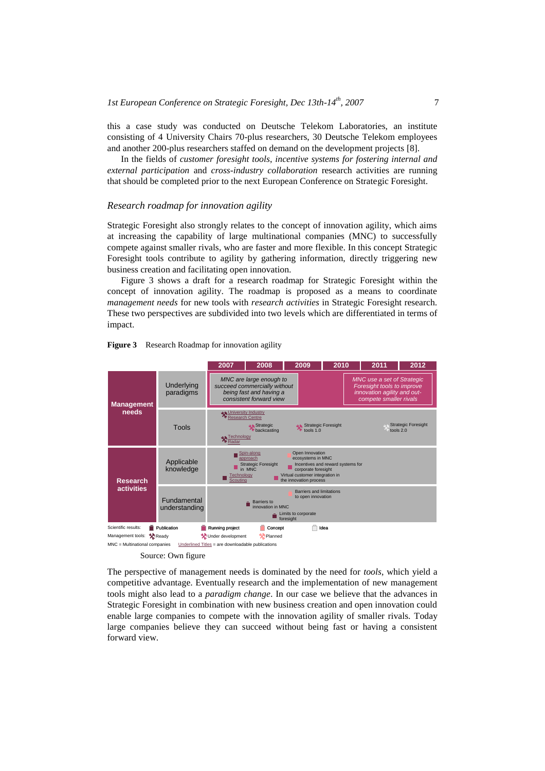this a case study was conducted on Deutsche Telekom Laboratories, an institute consisting of 4 University Chairs 70-plus researchers, 30 Deutsche Telekom employees and another 200-plus researchers staffed on demand on the development projects [8].

In the fields of *customer foresight tools*, *incentive systems for fostering internal and external participation* and *cross-industry collaboration* research activities are running that should be completed prior to the next European Conference on Strategic Foresight.

# *Research roadmap for innovation agility*

Strategic Foresight also strongly relates to the concept of innovation agility, which aims at increasing the capability of large multinational companies (MNC) to successfully compete against smaller rivals, who are faster and more flexible. In this concept Strategic Foresight tools contribute to agility by gathering information, directly triggering new business creation and facilitating open innovation.

Figure 3 shows a draft for a research roadmap for Strategic Foresight within the concept of innovation agility. The roadmap is proposed as a means to coordinate *management needs* for new tools with *research activities* in Strategic Foresight research. These two perspectives are subdivided into two levels which are differentiated in terms of impact.





The perspective of management needs is dominated by the need for *tools*, which yield a competitive advantage. Eventually research and the implementation of new management tools might also lead to a *paradigm change*. In our case we believe that the advances in Strategic Foresight in combination with new business creation and open innovation could enable large companies to compete with the innovation agility of smaller rivals. Today large companies believe they can succeed without being fast or having a consistent forward view.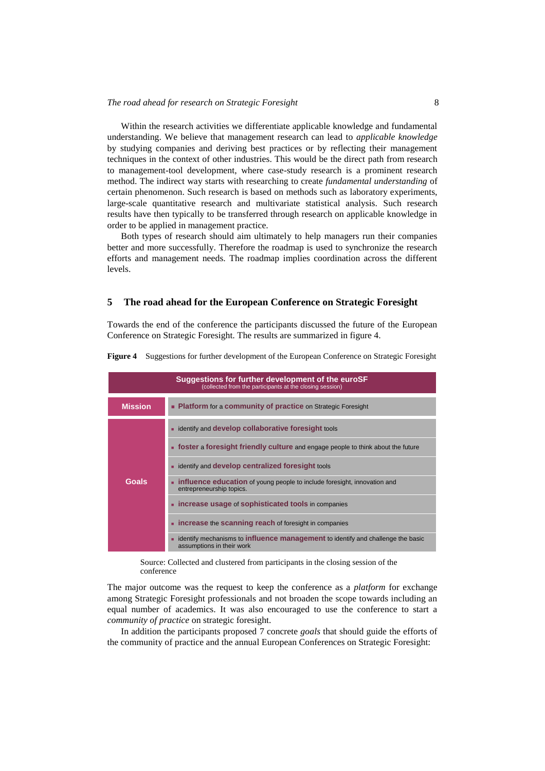Within the research activities we differentiate applicable knowledge and fundamental understanding. We believe that management research can lead to *applicable knowledge* by studying companies and deriving best practices or by reflecting their management techniques in the context of other industries. This would be the direct path from research to management-tool development, where case-study research is a prominent research method. The indirect way starts with researching to create *fundamental understanding* of certain phenomenon. Such research is based on methods such as laboratory experiments, large-scale quantitative research and multivariate statistical analysis. Such research results have then typically to be transferred through research on applicable knowledge in order to be applied in management practice.

Both types of research should aim ultimately to help managers run their companies better and more successfully. Therefore the roadmap is used to synchronize the research efforts and management needs. The roadmap implies coordination across the different levels.

# **5 The road ahead for the European Conference on Strategic Foresight**

Towards the end of the conference the participants discussed the future of the European Conference on Strategic Foresight. The results are summarized in figure 4.

| <b>Suggestions for further development of the euroSF</b><br>(collected from the participants at the closing session) |                                                                                                                     |
|----------------------------------------------------------------------------------------------------------------------|---------------------------------------------------------------------------------------------------------------------|
| <b>Mission</b>                                                                                                       | • Platform for a community of practice on Strategic Foresight                                                       |
|                                                                                                                      | • identify and <b>develop collaborative foresight</b> tools                                                         |
|                                                                                                                      | <b>s</b> foster a foresight friendly culture and engage people to think about the future                            |
|                                                                                                                      | identify and <b>develop centralized foresight</b> tools                                                             |
| Goals                                                                                                                | <b>influence education</b> of young people to include foresight, innovation and<br>entrepreneurship topics.         |
|                                                                                                                      | • increase usage of sophisticated tools in companies                                                                |
|                                                                                                                      | • increase the scanning reach of foresight in companies                                                             |
|                                                                                                                      | identify mechanisms to <b>influence management</b> to identify and challenge the basic<br>assumptions in their work |

**Figure 4** Suggestions for further development of the European Conference on Strategic Foresight

Source: Collected and clustered from participants in the closing session of the conference

The major outcome was the request to keep the conference as a *platform* for exchange among Strategic Foresight professionals and not broaden the scope towards including an equal number of academics. It was also encouraged to use the conference to start a *community of practice* on strategic foresight.

In addition the participants proposed 7 concrete *goals* that should guide the efforts of the community of practice and the annual European Conferences on Strategic Foresight: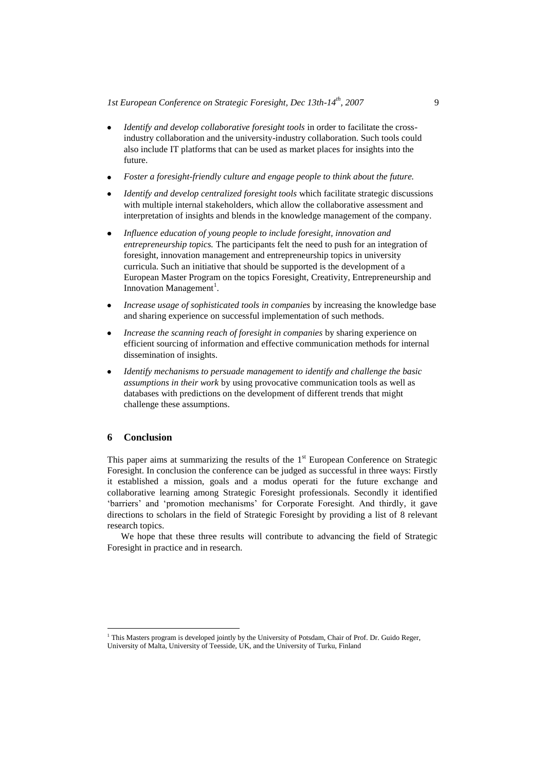- *Identify and develop collaborative foresight tools* in order to facilitate the crossindustry collaboration and the university-industry collaboration. Such tools could also include IT platforms that can be used as market places for insights into the future.
- *Foster a foresight-friendly culture and engage people to think about the future.*
- *Identify and develop centralized foresight tools* which facilitate strategic discussions with multiple internal stakeholders, which allow the collaborative assessment and interpretation of insights and blends in the knowledge management of the company.
- *Influence education of young people to include foresight, innovation and entrepreneurship topics.* The participants felt the need to push for an integration of foresight, innovation management and entrepreneurship topics in university curricula. Such an initiative that should be supported is the development of a European Master Program on the topics Foresight, Creativity, Entrepreneurship and Innovation Management<sup>1</sup>.
- *Increase usage of sophisticated tools in companies* by increasing the knowledge base and sharing experience on successful implementation of such methods.
- *Increase the scanning reach of foresight in companies* by sharing experience on efficient sourcing of information and effective communication methods for internal dissemination of insights.
- *Identify mechanisms to persuade management to identify and challenge the basic assumptions in their work* by using provocative communication tools as well as databases with predictions on the development of different trends that might challenge these assumptions.

# **6 Conclusion**

 $\overline{a}$ 

This paper aims at summarizing the results of the  $1<sup>st</sup>$  European Conference on Strategic Foresight. In conclusion the conference can be judged as successful in three ways: Firstly it established a mission, goals and a modus operati for the future exchange and collaborative learning among Strategic Foresight professionals. Secondly it identified "barriers" and "promotion mechanisms" for Corporate Foresight. And thirdly, it gave directions to scholars in the field of Strategic Foresight by providing a list of 8 relevant research topics.

We hope that these three results will contribute to advancing the field of Strategic Foresight in practice and in research.

<sup>&</sup>lt;sup>1</sup> This Masters program is developed jointly by the University of Potsdam, Chair of Prof. Dr. Guido Reger, University of Malta, University of Teesside, UK, and the University of Turku, Finland